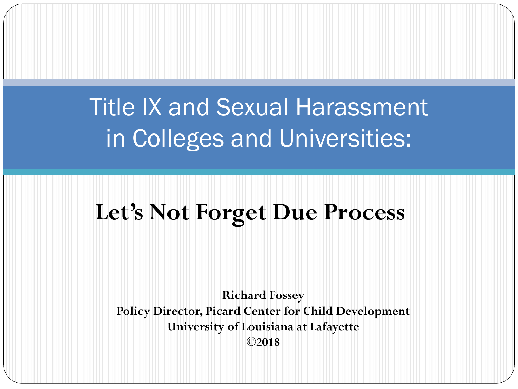#### Title IX and Sexual Harassment in Colleges and Universities:

#### **Let's Not Forget Due Process**

**Richard Fossey Policy Director, Picard Center for Child Development University of Louisiana at Lafayette ©2018**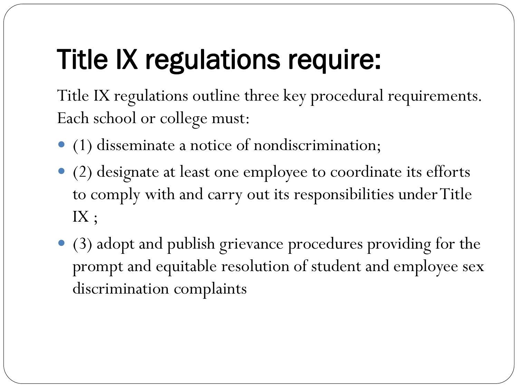# Title IX regulations require:

Title IX regulations outline three key procedural requirements. Each school or college must:

- (1) disseminate a notice of nondiscrimination;
- (2) designate at least one employee to coordinate its efforts to comply with and carry out its responsibilities under Title IX ;
- (3) adopt and publish grievance procedures providing for the prompt and equitable resolution of student and employee sex discrimination complaints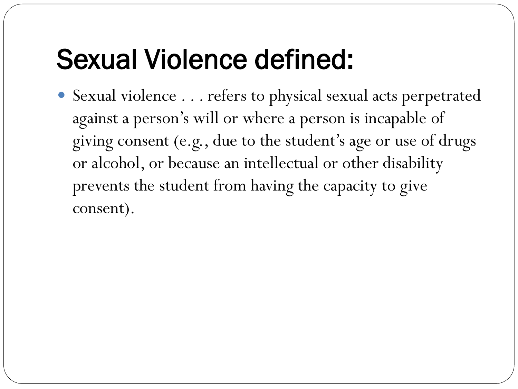## Sexual Violence defined:

 Sexual violence . . . refers to physical sexual acts perpetrated against a person's will or where a person is incapable of giving consent (e.g., due to the student's age or use of drugs or alcohol, or because an intellectual or other disability prevents the student from having the capacity to give consent).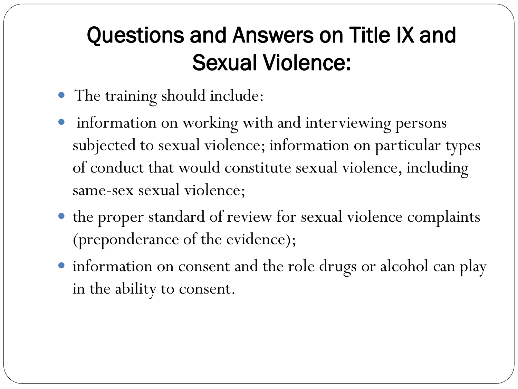#### Questions and Answers on Title IX and Sexual Violence:

- The training should include:
- **•** information on working with and interviewing persons subjected to sexual violence; information on particular types of conduct that would constitute sexual violence, including same-sex sexual violence;
- the proper standard of review for sexual violence complaints (preponderance of the evidence);
- information on consent and the role drugs or alcohol can play in the ability to consent.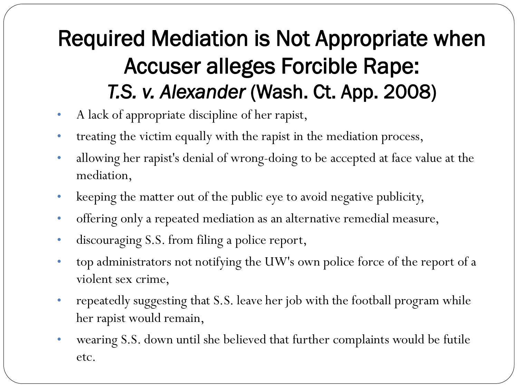#### Required Mediation is Not Appropriate when Accuser alleges Forcible Rape: *T.S. v. Alexander* (Wash. Ct. App. 2008)

- A lack of appropriate discipline of her rapist,
- treating the victim equally with the rapist in the mediation process,
- allowing her rapist's denial of wrong-doing to be accepted at face value at the mediation,
- keeping the matter out of the public eye to avoid negative publicity,
- offering only a repeated mediation as an alternative remedial measure,
- discouraging S.S. from filing a police report,
- top administrators not notifying the UW's own police force of the report of a violent sex crime,
- repeatedly suggesting that S.S. leave her job with the football program while her rapist would remain,
- wearing S.S. down until she believed that further complaints would be futile etc.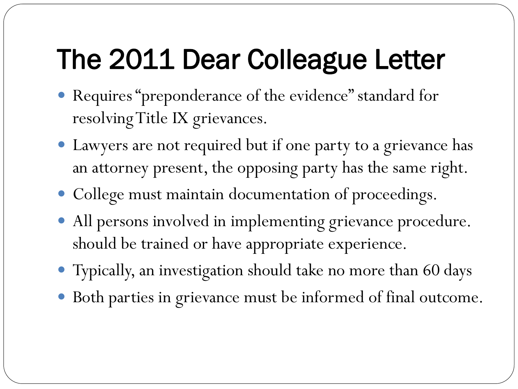# The 2011 Dear Colleague Letter

- Requires "preponderance of the evidence" standard for resolving Title IX grievances.
- Lawyers are not required but if one party to a grievance has an attorney present, the opposing party has the same right.
- College must maintain documentation of proceedings.
- All persons involved in implementing grievance procedure. should be trained or have appropriate experience.
- Typically, an investigation should take no more than 60 days
- Both parties in grievance must be informed of final outcome.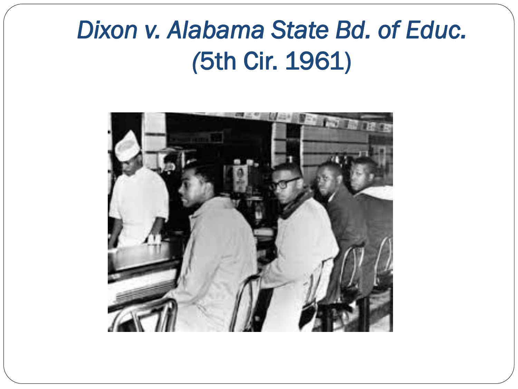#### *Dixon v. Alabama State Bd. of Educ. (*5th Cir. 1961)

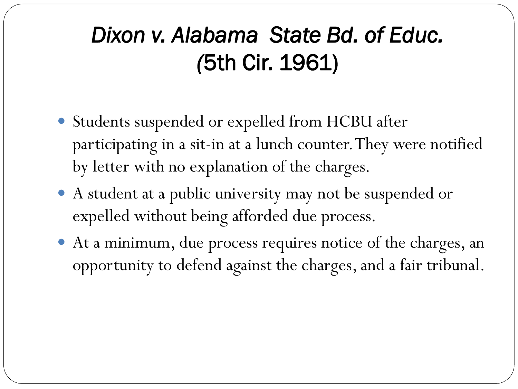#### *Dixon v. Alabama State Bd. of Educ. (*5th Cir. 1961)

- Students suspended or expelled from HCBU after participating in a sit-in at a lunch counter. They were notified by letter with no explanation of the charges.
- A student at a public university may not be suspended or expelled without being afforded due process.
- At a minimum, due process requires notice of the charges, an opportunity to defend against the charges, and a fair tribunal.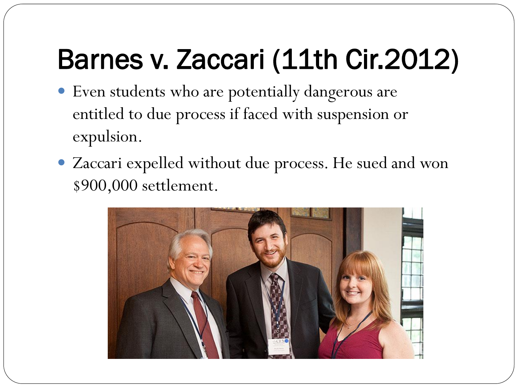# Barnes v. Zaccari (11th Cir.2012)

- Even students who are potentially dangerous are entitled to due process if faced with suspension or expulsion.
- Zaccari expelled without due process. He sued and won \$900,000 settlement.

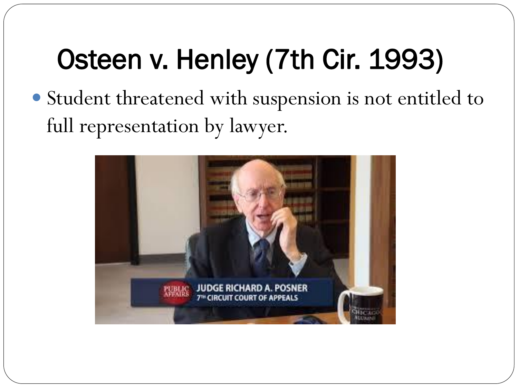# Osteen v. Henley (7th Cir. 1993)

 Student threatened with suspension is not entitled to full representation by lawyer.

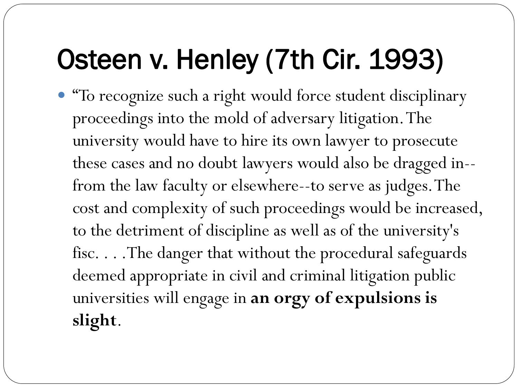# Osteen v. Henley (7th Cir. 1993)

 "To recognize such a right would force student disciplinary proceedings into the mold of adversary litigation. The university would have to hire its own lawyer to prosecute these cases and no doubt lawyers would also be dragged in- from the law faculty or elsewhere--to serve as judges. The cost and complexity of such proceedings would be increased, to the detriment of discipline as well as of the university's fisc. . . .The danger that without the procedural safeguards deemed appropriate in civil and criminal litigation public universities will engage in **an orgy of expulsions is slight**.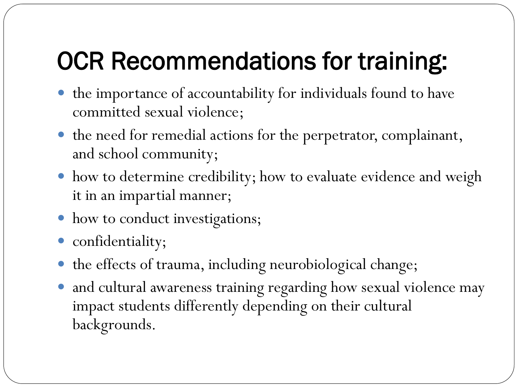### OCR Recommendations for training:

- the importance of accountability for individuals found to have committed sexual violence;
- the need for remedial actions for the perpetrator, complainant, and school community;
- how to determine credibility; how to evaluate evidence and weigh it in an impartial manner;
- how to conduct investigations;
- confidentiality;
- the effects of trauma, including neurobiological change;
- and cultural awareness training regarding how sexual violence may impact students differently depending on their cultural backgrounds.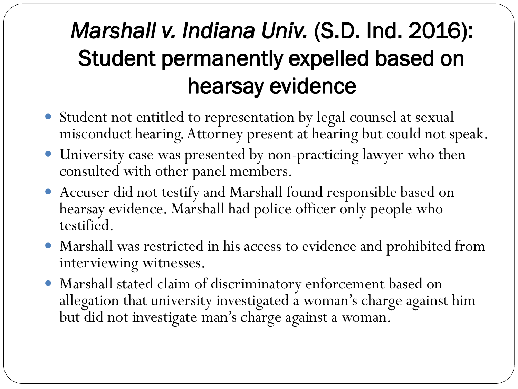#### *Marshall v. Indiana Univ.* (S.D. Ind. 2016): Student permanently expelled based on hearsay evidence

- Student not entitled to representation by legal counsel at sexual misconduct hearing. Attorney present at hearing but could not speak.
- University case was presented by non-practicing lawyer who then consulted with other panel members.
- Accuser did not testify and Marshall found responsible based on hearsay evidence. Marshall had police officer only people who testified.
- Marshall was restricted in his access to evidence and prohibited from interviewing witnesses.
- Marshall stated claim of discriminatory enforcement based on allegation that university investigated a woman's charge against him but did not investigate man's charge against a woman.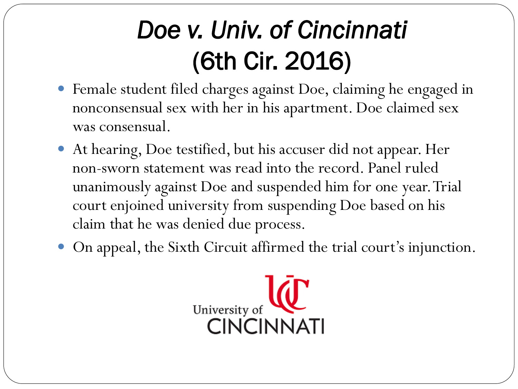- Female student filed charges against Doe, claiming he engaged in nonconsensual sex with her in his apartment. Doe claimed sex was consensual.
- At hearing, Doe testified, but his accuser did not appear. Her non-sworn statement was read into the record. Panel ruled unanimously against Doe and suspended him for one year. Trial court enjoined university from suspending Doe based on his claim that he was denied due process.
- On appeal, the Sixth Circuit affirmed the trial court's injunction.

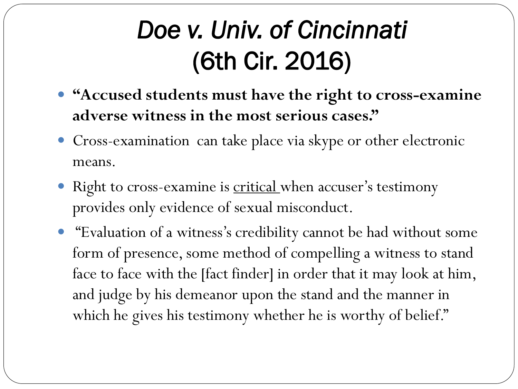- **"Accused students must have the right to cross-examine adverse witness in the most serious cases."**
- Cross-examination can take place via skype or other electronic means.
- Right to cross-examine is critical when accuser's testimony provides only evidence of sexual misconduct.
- "Evaluation of a witness's credibility cannot be had without some form of presence, some method of compelling a witness to stand face to face with the [fact finder] in order that it may look at him, and judge by his demeanor upon the stand and the manner in which he gives his testimony whether he is worthy of belief."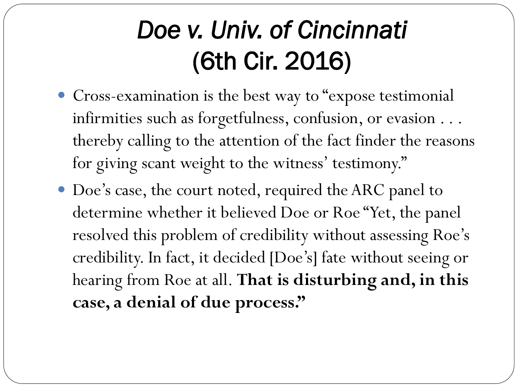- Cross-examination is the best way to "expose testimonial infirmities such as forgetfulness, confusion, or evasion . . . thereby calling to the attention of the fact finder the reasons for giving scant weight to the witness' testimony."
- Doe's case, the court noted, required the ARC panel to determine whether it believed Doe or Roe "Yet, the panel resolved this problem of credibility without assessing Roe's credibility. In fact, it decided [Doe's] fate without seeing or hearing from Roe at all. **That is disturbing and, in this case, a denial of due process."**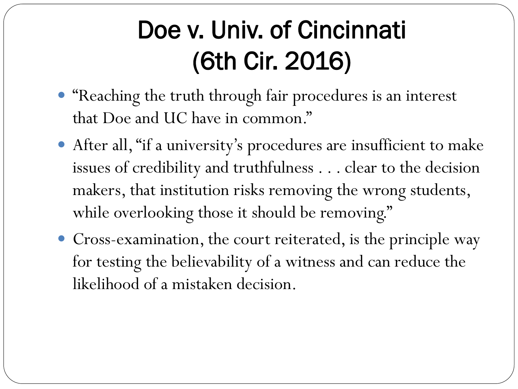- "Reaching the truth through fair procedures is an interest that Doe and UC have in common."
- After all, "if a university's procedures are insufficient to make issues of credibility and truthfulness . . . clear to the decision makers, that institution risks removing the wrong students, while overlooking those it should be removing."
- Cross-examination, the court reiterated, is the principle way for testing the believability of a witness and can reduce the likelihood of a mistaken decision.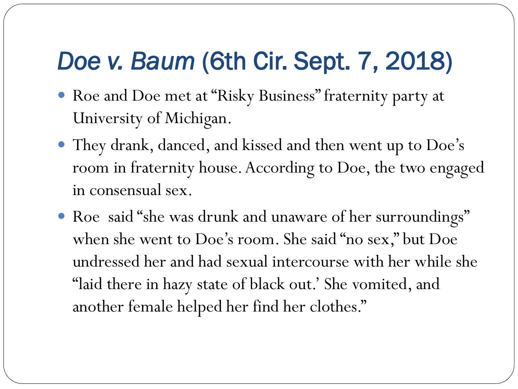#### *Doe v. Baum* (6th Cir. Sept. 7, 2018)

- Roe and Doe met at "Risky Business" fraternity party at University of Michigan.
- They drank, danced, and kissed and then went up to Doe's room in fraternity house. According to Doe, the two engaged in consensual sex.
- Roe said "she was drunk and unaware of her surroundings" when she went to Doe's room. She said "no sex," but Doe undressed her and had sexual intercourse with her while she "laid there in hazy state of black out.' She vomited, and another female helped her find her clothes."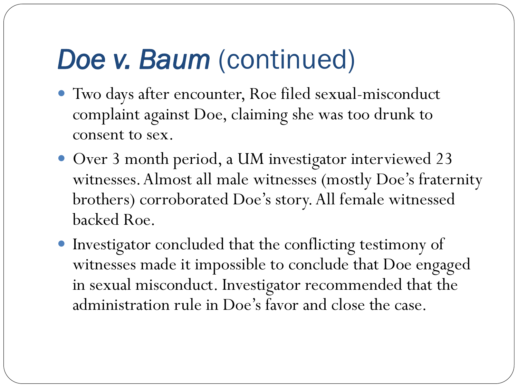- Two days after encounter, Roe filed sexual-misconduct complaint against Doe, claiming she was too drunk to consent to sex.
- Over 3 month period, a UM investigator interviewed 23 witnesses. Almost all male witnesses (mostly Doe's fraternity brothers) corroborated Doe's story. All female witnessed backed Roe.
- Investigator concluded that the conflicting testimony of witnesses made it impossible to conclude that Doe engaged in sexual misconduct. Investigator recommended that the administration rule in Doe's favor and close the case.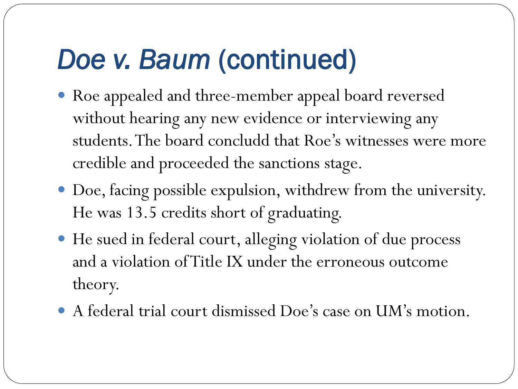- Roe appealed and three-member appeal board reversed without hearing any new evidence or interviewing any students. The board concludd that Roe's witnesses were more credible and proceeded the sanctions stage.
- Doe, facing possible expulsion, withdrew from the university. He was 13.5 credits short of graduating.
- He sued in federal court, alleging violation of due process and a violation of Title IX under the erroneous outcome theory.
- A federal trial court dismissed Doe's case on UM's motion.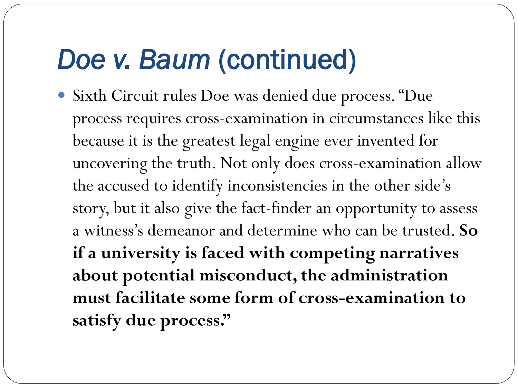Sixth Circuit rules Doe was denied due process. "Due process requires cross-examination in circumstances like this because it is the greatest legal engine ever invented for uncovering the truth. Not only does cross-examination allow the accused to identify inconsistencies in the other side's story, but it also give the fact-finder an opportunity to assess a witness's demeanor and determine who can be trusted. **So if a university is faced with competing narratives about potential misconduct, the administration must facilitate some form of cross-examination to satisfy due process."**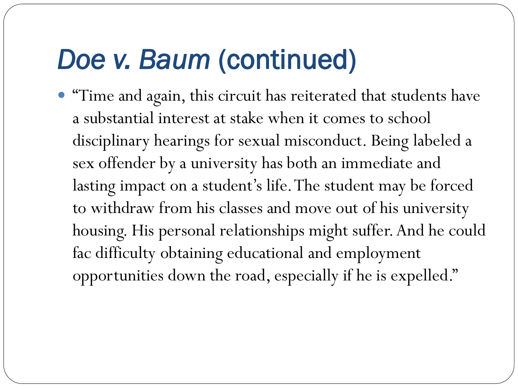"Time and again, this circuit has reiterated that students have a substantial interest at stake when it comes to school disciplinary hearings for sexual misconduct. Being labeled a sex offender by a university has both an immediate and lasting impact on a student's life. The student may be forced to withdraw from his classes and move out of his university housing. His personal relationships might suffer. And he could fac difficulty obtaining educational and employment opportunities down the road, especially if he is expelled."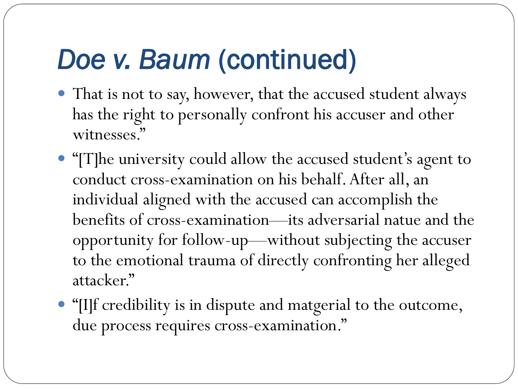- That is not to say, however, that the accused student always has the right to personally confront his accuser and other witnesses."
- "[T]he university could allow the accused student's agent to conduct cross-examination on his behalf. After all, an individual aligned with the accused can accomplish the benefits of cross-examination—its adversarial natue and the opportunity for follow-up—without subjecting the accuser to the emotional trauma of directly confronting her alleged attacker."
- "[I]f credibility is in dispute and matgerial to the outcome, due process requires cross-examination."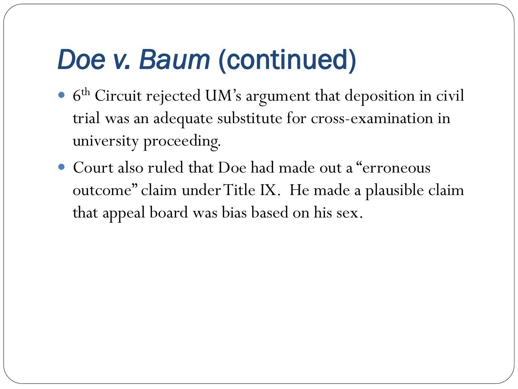- 6 th Circuit rejected UM's argument that deposition in civil trial was an adequate substitute for cross-examination in university proceeding.
- Court also ruled that Doe had made out a "erroneous" outcome" claim under Title IX. He made a plausible claim that appeal board was bias based on his sex.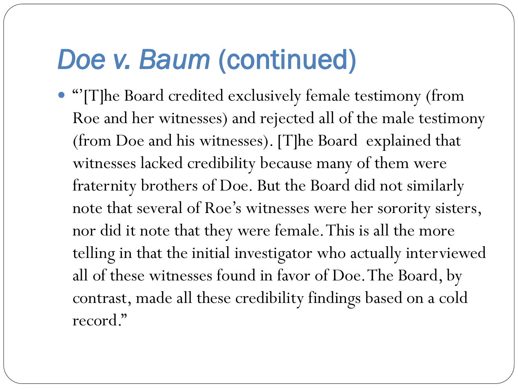"'[T]he Board credited exclusively female testimony (from Roe and her witnesses) and rejected all of the male testimony (from Doe and his witnesses). [T]he Board explained that witnesses lacked credibility because many of them were fraternity brothers of Doe. But the Board did not similarly note that several of Roe's witnesses were her sorority sisters, nor did it note that they were female. This is all the more telling in that the initial investigator who actually interviewed all of these witnesses found in favor of Doe. The Board, by contrast, made all these credibility findings based on a cold record."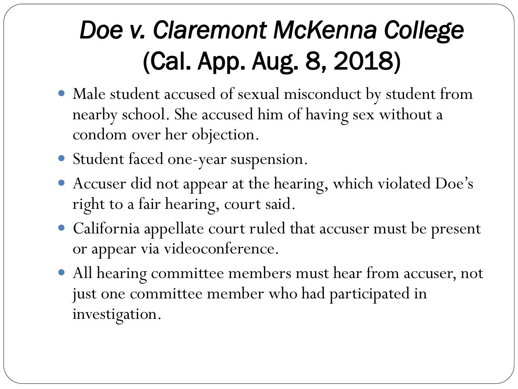## *Doe v. Claremont McKenna College*  (Cal. App. Aug. 8, 2018)

- Male student accused of sexual misconduct by student from nearby school. She accused him of having sex without a condom over her objection.
- Student faced one-year suspension.
- Accuser did not appear at the hearing, which violated Doe's right to a fair hearing, court said.
- California appellate court ruled that accuser must be present or appear via videoconference.
- All hearing committee members must hear from accuser, not just one committee member who had participated in investigation.